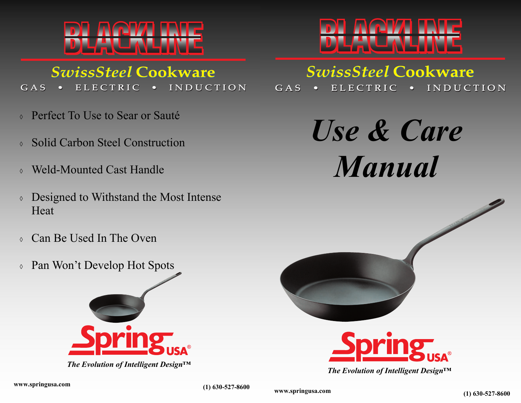

## **SwissSteel Cookware**

ELECTRIC **INDUCTION**  $GAS$ 

- Perfect To Use to Sear or Sauté
- ◊ Solid Carbon Steel Construction
- ◊ Weld-Mounted Cast Handle
- ◊ Designed to Withstand the Most Intense Heat
- ◊ Can Be Used In The Oven
- ◊ Pan Won't Develop Hot Spots



*The Evolution of Intelligent Design™* 



# **SwissSteel Cookware**

ELECTRIC **INDUCTION** GAS  $\bullet$ 

> *Use & Care Manual*





*The Evolution of Intelligent Design™* 

**www.springusa.com (1) 630-527-8600**